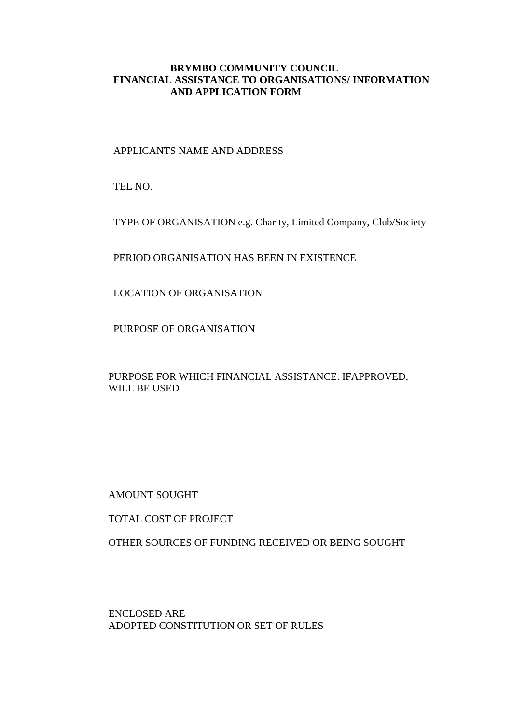#### **BRYMBO COMMUNITY COUNCIL FINANCIAL ASSISTANCE TO ORGANISATIONS/ INFORMATION AND APPLICATION FORM**

APPLICANTS NAME AND ADDRESS

TEL NO.

TYPE OF ORGANISATION e.g. Charity, Limited Company, Club/Society

PERIOD ORGANISATION HAS BEEN IN EXISTENCE

LOCATION OF ORGANISATION

PURPOSE OF ORGANISATION

PURPOSE FOR WHICH FINANCIAL ASSISTANCE. IFAPPROVED, WILL BE USED

AMOUNT SOUGHT

TOTAL COST OF PROJECT

OTHER SOURCES OF FUNDING RECEIVED OR BEING SOUGHT

ENCLOSED ARE ADOPTED CONSTITUTION OR SET OF RULES